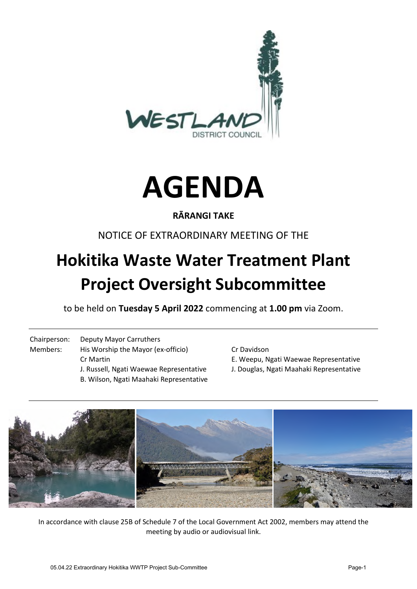



# **RĀRANGI TAKE**

# NOTICE OF EXTRAORDINARY MEETING OF THE

# **Hokitika Waste Water Treatment Plant Project Oversight Subcommittee**

to be held on **Tuesday 5 April 2022** commencing at **1.00 pm** via Zoom.

Chairperson: Deputy Mayor Carruthers Members: His Worship the Mayor (ex-officio) Cr Davidson Cr Martin E. Weepu, Ngati Waewae Representative J. Russell, Ngati Waewae Representative J. Douglas, Ngati Maahaki Representative B. Wilson, Ngati Maahaki Representative

- 
- 



In accordance with clause 25B of Schedule 7 of the Local Government Act 2002, members may attend the meeting by audio or audiovisual link.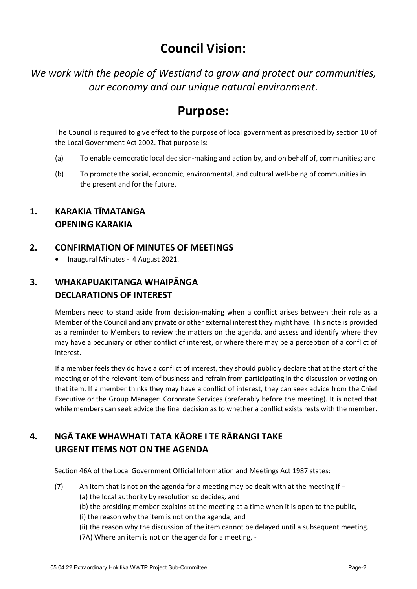# **Council Vision:**

*We work with the people of Westland to grow and protect our communities, our economy and our unique natural environment.* 

# **Purpose:**

The Council is required to give effect to the purpose of local government as prescribed by section 10 of the Local Government Act 2002. That purpose is:

- (a) To enable democratic local decision-making and action by, and on behalf of, communities; and
- (b) To promote the social, economic, environmental, and cultural well-being of communities in the present and for the future.

# **1. KARAKIA TĪMATANGA OPENING KARAKIA**

## **2. CONFIRMATION OF MINUTES OF MEETINGS**

• Inaugural Minutes - 4 August 2021.

# **3. WHAKAPUAKITANGA WHAIPĀNGA DECLARATIONS OF INTEREST**

Members need to stand aside from decision-making when a conflict arises between their role as a Member of the Council and any private or other external interest they might have. This note is provided as a reminder to Members to review the matters on the agenda, and assess and identify where they may have a pecuniary or other conflict of interest, or where there may be a perception of a conflict of interest.

If a member feels they do have a conflict of interest, they should publicly declare that at the start of the meeting or of the relevant item of business and refrain from participating in the discussion or voting on that item. If a member thinks they may have a conflict of interest, they can seek advice from the Chief Executive or the Group Manager: Corporate Services (preferably before the meeting). It is noted that while members can seek advice the final decision as to whether a conflict exists rests with the member.

# **4. NGĀ TAKE WHAWHATI TATA KĀORE I TE RĀRANGI TAKE URGENT ITEMS NOT ON THE AGENDA**

Section 46A of the Local Government Official Information and Meetings Act 1987 states:

 $(7)$  An item that is not on the agenda for a meeting may be dealt with at the meeting if – (a) the local authority by resolution so decides, and

(b) the presiding member explains at the meeting at a time when it is open to the public, -

(i) the reason why the item is not on the agenda; and

(ii) the reason why the discussion of the item cannot be delayed until a subsequent meeting. (7A) Where an item is not on the agenda for a meeting, -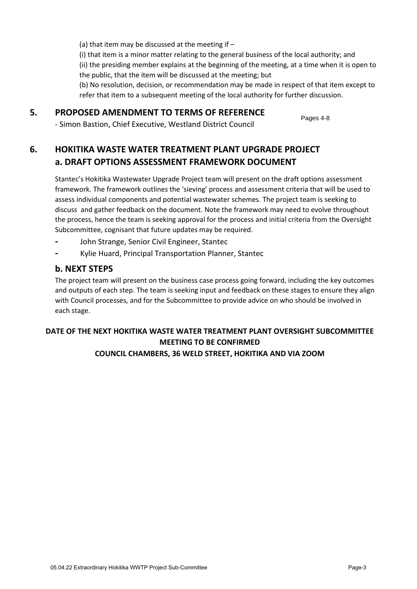(a) that item may be discussed at the meeting if – (i) that item is a minor matter relating to the general business of the local authority; and (ii) the presiding member explains at the beginning of the meeting, at a time when it is open to the public, that the item will be discussed at the meeting; but (b) No resolution, decision, or recommendation may be made in respect of that item except to refer that item to a subsequent meeting of the local authority for further discussion.

### **5. PROPOSED AMENDMENT TO TERMS OF REFERENCE**

Pages 4-8

- Simon Bastion, Chief Executive, Westland District Council

# **6. HOKITIKA WASTE WATER TREATMENT PLANT UPGRADE PROJECT a. DRAFT OPTIONS ASSESSMENT FRAMEWORK DOCUMENT**

Stantec's Hokitika Wastewater Upgrade Project team will present on the draft options assessment framework. The framework outlines the 'sieving' process and assessment criteria that will be used to assess individual components and potential wastewater schemes. The project team is seeking to discuss and gather feedback on the document. Note the framework may need to evolve throughout the process, hence the team is seeking approval for the process and initial criteria from the Oversight Subcommittee, cognisant that future updates may be required.

- **-** John Strange, Senior Civil Engineer, Stantec
- **-** Kylie Huard, Principal Transportation Planner, Stantec

### **b. NEXT STEPS**

The project team will present on the business case process going forward, including the key outcomes and outputs of each step. The team is seeking input and feedback on these stages to ensure they align with Council processes, and for the Subcommittee to provide advice on who should be involved in each stage.

#### **DATE OF THE NEXT HOKITIKA WASTE WATER TREATMENT PLANT OVERSIGHT SUBCOMMITTEE MEETING TO BE CONFIRMED COUNCIL CHAMBERS, 36 WELD STREET, HOKITIKA AND VIA ZOOM**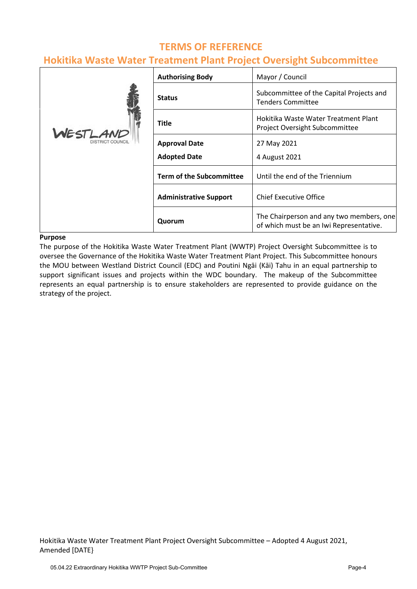# **TERMS OF REFERENCE**

# **Hokitika Waste Water Treatment Plant Project Oversight Subcommittee**

|                                    | <b>Authorising Body</b>         | Mayor / Council                                                                     |
|------------------------------------|---------------------------------|-------------------------------------------------------------------------------------|
| WESTLAND<br><b>DISTRICT COUNCI</b> | <b>Status</b>                   | Subcommittee of the Capital Projects and<br><b>Tenders Committee</b>                |
|                                    | <b>Title</b>                    | Hokitika Waste Water Treatment Plant<br>Project Oversight Subcommittee              |
|                                    | <b>Approval Date</b>            | 27 May 2021                                                                         |
|                                    | <b>Adopted Date</b>             | 4 August 2021                                                                       |
|                                    | <b>Term of the Subcommittee</b> | Until the end of the Triennium                                                      |
|                                    | <b>Administrative Support</b>   | <b>Chief Executive Office</b>                                                       |
|                                    | Quorum                          | The Chairperson and any two members, one<br>of which must be an Iwi Representative. |

#### **Purpose**

The purpose of the Hokitika Waste Water Treatment Plant (WWTP) Project Oversight Subcommittee is to oversee the Governance of the Hokitika Waste Water Treatment Plant Project. This Subcommittee honours the MOU between Westland District Council (EDC) and Poutini Ngāi (Kāi) Tahu in an equal partnership to support significant issues and projects within the WDC boundary. The makeup of the Subcommittee represents an equal partnership is to ensure stakeholders are represented to provide guidance on the strategy of the project.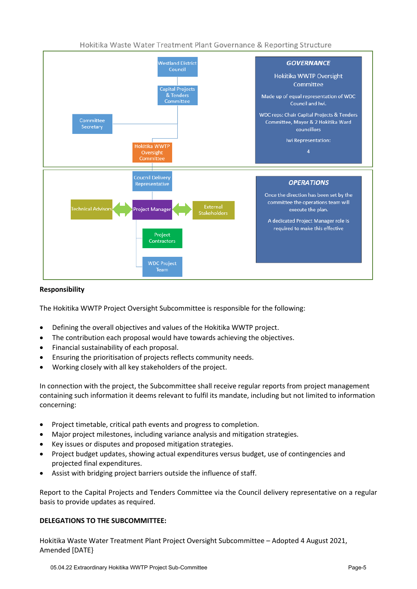



#### **Responsibility**

The Hokitika WWTP Project Oversight Subcommittee is responsible for the following:

- Defining the overall objectives and values of the Hokitika WWTP project.
- The contribution each proposal would have towards achieving the objectives.
- Financial sustainability of each proposal.
- Ensuring the prioritisation of projects reflects community needs.
- Working closely with all key stakeholders of the project.

In connection with the project, the Subcommittee shall receive regular reports from project management containing such information it deems relevant to fulfil its mandate, including but not limited to information concerning:

- Project timetable, critical path events and progress to completion.
- Major project milestones, including variance analysis and mitigation strategies.
- Key issues or disputes and proposed mitigation strategies.
- Project budget updates, showing actual expenditures versus budget, use of contingencies and projected final expenditures.
- Assist with bridging project barriers outside the influence of staff.

Report to the Capital Projects and Tenders Committee via the Council delivery representative on a regular basis to provide updates as required.

#### **DELEGATIONS TO THE SUBCOMMITTEE:**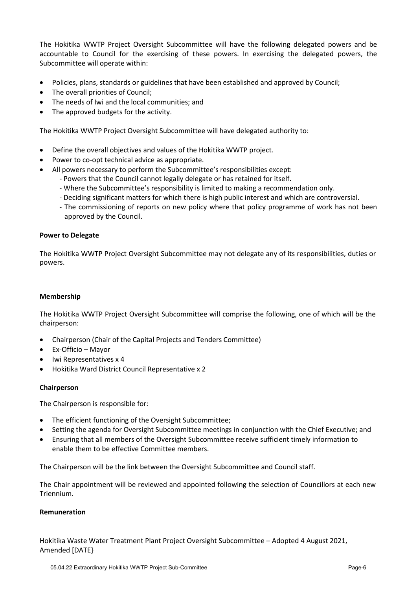The Hokitika WWTP Project Oversight Subcommittee will have the following delegated powers and be accountable to Council for the exercising of these powers. In exercising the delegated powers, the Subcommittee will operate within:

- Policies, plans, standards or guidelines that have been established and approved by Council;
- The overall priorities of Council;
- The needs of Iwi and the local communities; and
- The approved budgets for the activity.

The Hokitika WWTP Project Oversight Subcommittee will have delegated authority to:

- Define the overall objectives and values of the Hokitika WWTP project.
- Power to co-opt technical advice as appropriate.
- All powers necessary to perform the Subcommittee's responsibilities except:
	- Powers that the Council cannot legally delegate or has retained for itself.
	- Where the Subcommittee's responsibility is limited to making a recommendation only.
	- Deciding significant matters for which there is high public interest and which are controversial.
	- The commissioning of reports on new policy where that policy programme of work has not been approved by the Council.

#### **Power to Delegate**

The Hokitika WWTP Project Oversight Subcommittee may not delegate any of its responsibilities, duties or powers.

#### **Membership**

The Hokitika WWTP Project Oversight Subcommittee will comprise the following, one of which will be the chairperson:

- Chairperson (Chair of the Capital Projects and Tenders Committee)
- Ex-Officio Mayor
- Iwi Representatives x 4
- Hokitika Ward District Council Representative x 2

#### **Chairperson**

The Chairperson is responsible for:

- The efficient functioning of the Oversight Subcommittee;
- Setting the agenda for Oversight Subcommittee meetings in conjunction with the Chief Executive; and
- Ensuring that all members of the Oversight Subcommittee receive sufficient timely information to enable them to be effective Committee members.

The Chairperson will be the link between the Oversight Subcommittee and Council staff.

The Chair appointment will be reviewed and appointed following the selection of Councillors at each new Triennium.

#### **Remuneration**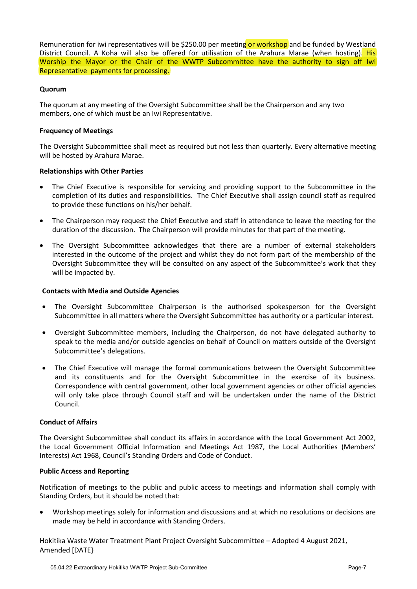Remuneration for iwi representatives will be \$250.00 per meeting or workshop and be funded by Westland District Council. A Koha will also be offered for utilisation of the Arahura Marae (when hosting). His Worship the Mayor or the Chair of the WWTP Subcommittee have the authority to sign off Iwi Representative payments for processing.

#### **Quorum**

The quorum at any meeting of the Oversight Subcommittee shall be the Chairperson and any two members, one of which must be an Iwi Representative.

#### **Frequency of Meetings**

The Oversight Subcommittee shall meet as required but not less than quarterly. Every alternative meeting will be hosted by Arahura Marae.

#### **Relationships with Other Parties**

- The Chief Executive is responsible for servicing and providing support to the Subcommittee in the completion of its duties and responsibilities. The Chief Executive shall assign council staff as required to provide these functions on his/her behalf.
- The Chairperson may request the Chief Executive and staff in attendance to leave the meeting for the duration of the discussion. The Chairperson will provide minutes for that part of the meeting.
- The Oversight Subcommittee acknowledges that there are a number of external stakeholders interested in the outcome of the project and whilst they do not form part of the membership of the Oversight Subcommittee they will be consulted on any aspect of the Subcommittee's work that they will be impacted by.

#### **Contacts with Media and Outside Agencies**

- The Oversight Subcommittee Chairperson is the authorised spokesperson for the Oversight Subcommittee in all matters where the Oversight Subcommittee has authority or a particular interest.
- Oversight Subcommittee members, including the Chairperson, do not have delegated authority to speak to the media and/or outside agencies on behalf of Council on matters outside of the Oversight Subcommittee's delegations.
- The Chief Executive will manage the formal communications between the Oversight Subcommittee and its constituents and for the Oversight Subcommittee in the exercise of its business. Correspondence with central government, other local government agencies or other official agencies will only take place through Council staff and will be undertaken under the name of the District Council.

#### **Conduct of Affairs**

The Oversight Subcommittee shall conduct its affairs in accordance with the Local Government Act 2002, the Local Government Official Information and Meetings Act 1987, the Local Authorities (Members' Interests) Act 1968, Council's Standing Orders and Code of Conduct.

#### **Public Access and Reporting**

Notification of meetings to the public and public access to meetings and information shall comply with Standing Orders, but it should be noted that:

 Workshop meetings solely for information and discussions and at which no resolutions or decisions are made may be held in accordance with Standing Orders.